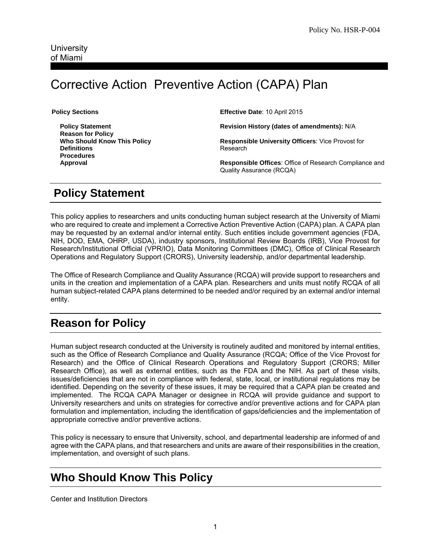# Corrective Action Preventive Action (CAPA) Plan

**Policy Sections** 

 **Policy Statement Reason for Policy Who Should Know This Policy Definitions Procedures Approval** 

**Effective Date**: 10 April 2015

**Revision History (dates of amendments):** N/A

**Responsible University Officers**: Vice Provost for Research

**Responsible Offices**: Office of Research Compliance and Quality Assurance (RCQA)

#### **Policy Statement**

This policy applies to researchers and units conducting human subject research at the University of Miami who are required to create and implement a Corrective Action Preventive Action (CAPA) plan. A CAPA plan may be requested by an external and/or internal entity. Such entities include government agencies (FDA, NIH, DOD, EMA, OHRP, USDA), industry sponsors, Institutional Review Boards (IRB), Vice Provost for Research/Institutional Official (VPR/IO), Data Monitoring Committees (DMC), Office of Clinical Research Operations and Regulatory Support (CRORS), University leadership, and/or departmental leadership.

The Office of Research Compliance and Quality Assurance (RCQA) will provide support to researchers and units in the creation and implementation of a CAPA plan. Researchers and units must notify RCQA of all human subject-related CAPA plans determined to be needed and/or required by an external and/or internal entity.

#### **Reason for Policy**

Human subject research conducted at the University is routinely audited and monitored by internal entities, such as the Office of Research Compliance and Quality Assurance (RCQA; Office of the Vice Provost for Research) and the Office of Clinical Research Operations and Regulatory Support (CRORS; Miller Research Office), as well as external entities, such as the FDA and the NIH. As part of these visits, issues/deficiencies that are not in compliance with federal, state, local, or institutional regulations may be identified. Depending on the severity of these issues, it may be required that a CAPA plan be created and implemented. The RCQA CAPA Manager or designee in RCQA will provide guidance and support to University researchers and units on strategies for corrective and/or preventive actions and for CAPA plan formulation and implementation, including the identification of gaps/deficiencies and the implementation of appropriate corrective and/or preventive actions.

This policy is necessary to ensure that University, school, and departmental leadership are informed of and agree with the CAPA plans, and that researchers and units are aware of their responsibilities in the creation, implementation, and oversight of such plans.

#### **Who Should Know This Policy**

Center and Institution Directors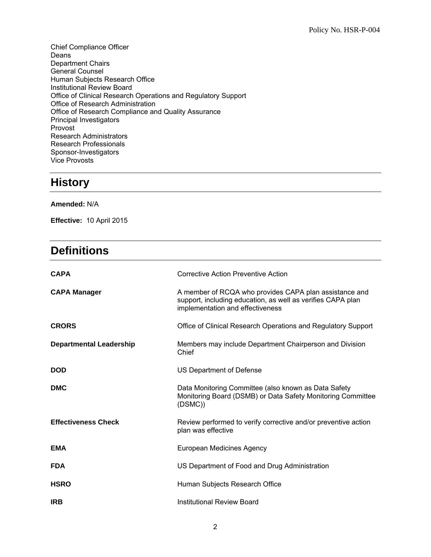Chief Compliance Officer Deans Department Chairs General Counsel Human Subjects Research Office Institutional Review Board Office of Clinical Research Operations and Regulatory Support Office of Research Administration Office of Research Compliance and Quality Assurance Principal Investigators Provost Research Administrators Research Professionals Sponsor-Investigators Vice Provosts

### **History**

**Amended:** N/A

**Effective:** 10 April 2015

#### **Definitions**

| <b>CAPA</b>                    | Corrective Action Preventive Action                                                                                                                       |
|--------------------------------|-----------------------------------------------------------------------------------------------------------------------------------------------------------|
| <b>CAPA Manager</b>            | A member of RCQA who provides CAPA plan assistance and<br>support, including education, as well as verifies CAPA plan<br>implementation and effectiveness |
| <b>CRORS</b>                   | Office of Clinical Research Operations and Regulatory Support                                                                                             |
| <b>Departmental Leadership</b> | Members may include Department Chairperson and Division<br>Chief                                                                                          |
| <b>DOD</b>                     | US Department of Defense                                                                                                                                  |
| <b>DMC</b>                     | Data Monitoring Committee (also known as Data Safety<br>Monitoring Board (DSMB) or Data Safety Monitoring Committee<br>(DSMC)                             |
| <b>Effectiveness Check</b>     | Review performed to verify corrective and/or preventive action<br>plan was effective                                                                      |
| <b>EMA</b>                     | European Medicines Agency                                                                                                                                 |
| <b>FDA</b>                     | US Department of Food and Drug Administration                                                                                                             |
| <b>HSRO</b>                    | Human Subjects Research Office                                                                                                                            |
| <b>IRB</b>                     | Institutional Review Board                                                                                                                                |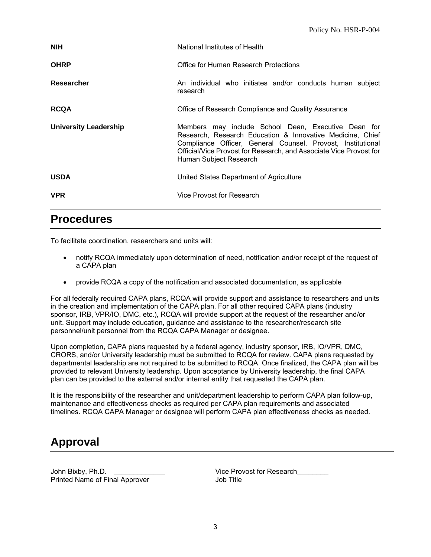| <b>NIH</b>                   | National Institutes of Health                                                                                                                                                                                                                                                   |
|------------------------------|---------------------------------------------------------------------------------------------------------------------------------------------------------------------------------------------------------------------------------------------------------------------------------|
| <b>OHRP</b>                  | Office for Human Research Protections                                                                                                                                                                                                                                           |
| Researcher                   | An individual who initiates and/or conducts human subject<br>research                                                                                                                                                                                                           |
| <b>RCQA</b>                  | Office of Research Compliance and Quality Assurance                                                                                                                                                                                                                             |
| <b>University Leadership</b> | Members may include School Dean, Executive Dean for<br>Research, Research Education & Innovative Medicine, Chief<br>Compliance Officer, General Counsel, Provost, Institutional<br>Official/Vice Provost for Research, and Associate Vice Provost for<br>Human Subject Research |
| <b>USDA</b>                  | United States Department of Agriculture                                                                                                                                                                                                                                         |
| <b>VPR</b>                   | Vice Provost for Research                                                                                                                                                                                                                                                       |

#### **Procedures**

To facilitate coordination, researchers and units will:

- notify RCQA immediately upon determination of need, notification and/or receipt of the request of a CAPA plan
- provide RCQA a copy of the notification and associated documentation, as applicable

For all federally required CAPA plans, RCQA will provide support and assistance to researchers and units in the creation and implementation of the CAPA plan. For all other required CAPA plans (industry sponsor, IRB, VPR/IO, DMC, etc.), RCQA will provide support at the request of the researcher and/or unit. Support may include education, guidance and assistance to the researcher/research site personnel/unit personnel from the RCQA CAPA Manager or designee.

Upon completion, CAPA plans requested by a federal agency, industry sponsor, IRB, IO/VPR, DMC, CRORS, and/or University leadership must be submitted to RCQA for review. CAPA plans requested by departmental leadership are not required to be submitted to RCQA. Once finalized, the CAPA plan will be provided to relevant University leadership. Upon acceptance by University leadership, the final CAPA plan can be provided to the external and/or internal entity that requested the CAPA plan.

It is the responsibility of the researcher and unit/department leadership to perform CAPA plan follow-up, maintenance and effectiveness checks as required per CAPA plan requirements and associated timelines. RCQA CAPA Manager or designee will perform CAPA plan effectiveness checks as needed.

## **Approval**

John Bixby, Ph.D.<br>
Printed Name of Final Approver<br>
Printed Name of Final Approver<br>
Cob Title Printed Name of Final Approver